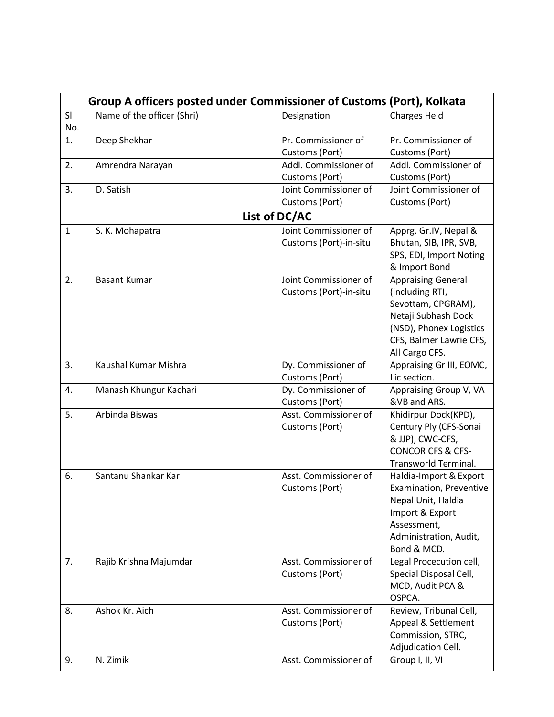|              | Group A officers posted under Commissioner of Customs (Port), Kolkata |                                                 |                                                                                                                                                                   |  |  |
|--------------|-----------------------------------------------------------------------|-------------------------------------------------|-------------------------------------------------------------------------------------------------------------------------------------------------------------------|--|--|
| SI<br>No.    | Name of the officer (Shri)                                            | Designation                                     | <b>Charges Held</b>                                                                                                                                               |  |  |
| 1.           | Deep Shekhar                                                          | Pr. Commissioner of<br>Customs (Port)           | Pr. Commissioner of<br>Customs (Port)                                                                                                                             |  |  |
| 2.           | Amrendra Narayan                                                      | Addl. Commissioner of<br>Customs (Port)         | Addl. Commissioner of<br>Customs (Port)                                                                                                                           |  |  |
| 3.           | D. Satish                                                             | Joint Commissioner of<br>Customs (Port)         | Joint Commissioner of<br>Customs (Port)                                                                                                                           |  |  |
|              | List of DC/AC                                                         |                                                 |                                                                                                                                                                   |  |  |
| $\mathbf{1}$ | S. K. Mohapatra                                                       | Joint Commissioner of<br>Customs (Port)-in-situ | Apprg. Gr.IV, Nepal &<br>Bhutan, SIB, IPR, SVB,<br>SPS, EDI, Import Noting<br>& Import Bond                                                                       |  |  |
| 2.           | <b>Basant Kumar</b>                                                   | Joint Commissioner of<br>Customs (Port)-in-situ | <b>Appraising General</b><br>(including RTI,<br>Sevottam, CPGRAM),<br>Netaji Subhash Dock<br>(NSD), Phonex Logistics<br>CFS, Balmer Lawrie CFS,<br>All Cargo CFS. |  |  |
| 3.           | Kaushal Kumar Mishra                                                  | Dy. Commissioner of<br>Customs (Port)           | Appraising Gr III, EOMC,<br>Lic section.                                                                                                                          |  |  |
| 4.           | Manash Khungur Kachari                                                | Dy. Commissioner of<br>Customs (Port)           | Appraising Group V, VA<br>&VB and ARS.                                                                                                                            |  |  |
| 5.           | Arbinda Biswas                                                        | Asst. Commissioner of<br>Customs (Port)         | Khidirpur Dock(KPD),<br>Century Ply (CFS-Sonai<br>& JJP), CWC-CFS,<br><b>CONCOR CFS &amp; CFS-</b><br>Transworld Terminal.                                        |  |  |
| 6.           | Santanu Shankar Kar                                                   | Asst. Commissioner of<br>Customs (Port)         | Haldia-Import & Export<br>Examination, Preventive<br>Nepal Unit, Haldia<br>Import & Export<br>Assessment,<br>Administration, Audit,<br>Bond & MCD.                |  |  |
| 7.           | Rajib Krishna Majumdar                                                | Asst. Commissioner of<br>Customs (Port)         | Legal Procecution cell,<br>Special Disposal Cell,<br>MCD, Audit PCA &<br>OSPCA.                                                                                   |  |  |
| 8.           | Ashok Kr. Aich                                                        | Asst. Commissioner of<br>Customs (Port)         | Review, Tribunal Cell,<br>Appeal & Settlement<br>Commission, STRC,<br>Adjudication Cell.                                                                          |  |  |
| 9.           | N. Zimik                                                              | Asst. Commissioner of                           | Group I, II, VI                                                                                                                                                   |  |  |